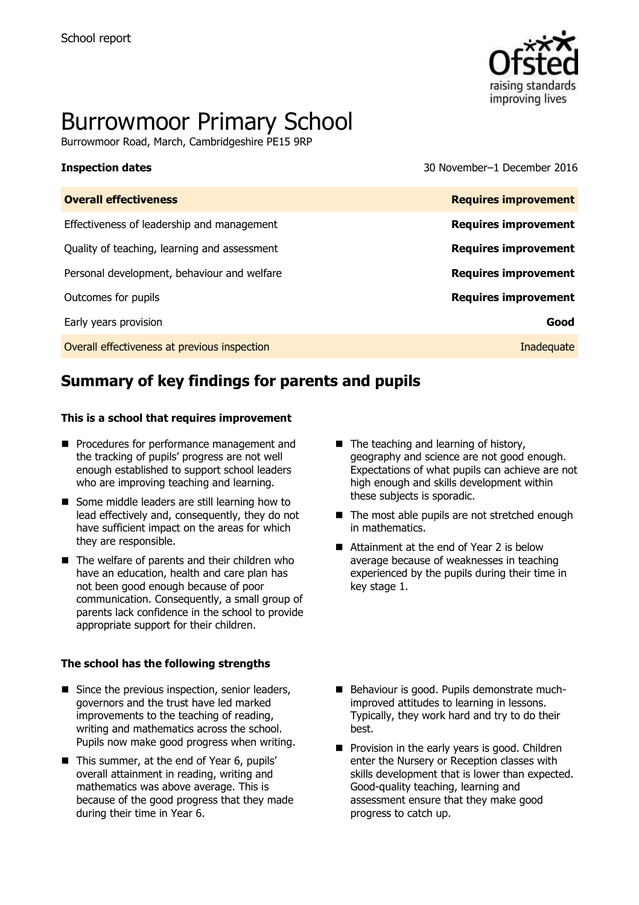

# Burrowmoor Primary School

Burrowmoor Road, March, Cambridgeshire PE15 9RP

**Inspection dates** 30 November–1 December 2016

| <b>Overall effectiveness</b>                 | <b>Requires improvement</b> |
|----------------------------------------------|-----------------------------|
| Effectiveness of leadership and management   | <b>Requires improvement</b> |
| Quality of teaching, learning and assessment | <b>Requires improvement</b> |
| Personal development, behaviour and welfare  | <b>Requires improvement</b> |
| Outcomes for pupils                          | <b>Requires improvement</b> |
| Early years provision                        | Good                        |
| Overall effectiveness at previous inspection | Inadequate                  |

# **Summary of key findings for parents and pupils**

### **This is a school that requires improvement**

- **Procedures for performance management and** the tracking of pupils' progress are not well enough established to support school leaders who are improving teaching and learning.
- Some middle leaders are still learning how to lead effectively and, consequently, they do not have sufficient impact on the areas for which they are responsible.
- The welfare of parents and their children who have an education, health and care plan has not been good enough because of poor communication. Consequently, a small group of parents lack confidence in the school to provide appropriate support for their children.

### **The school has the following strengths**

- Since the previous inspection, senior leaders, governors and the trust have led marked improvements to the teaching of reading, writing and mathematics across the school. Pupils now make good progress when writing.
- This summer, at the end of Year 6, pupils' overall attainment in reading, writing and mathematics was above average. This is because of the good progress that they made during their time in Year 6.
- $\blacksquare$  The teaching and learning of history, geography and science are not good enough. Expectations of what pupils can achieve are not high enough and skills development within these subjects is sporadic.
- The most able pupils are not stretched enough in mathematics.
- Attainment at the end of Year 2 is below average because of weaknesses in teaching experienced by the pupils during their time in key stage 1.
- Behaviour is good. Pupils demonstrate muchimproved attitudes to learning in lessons. Typically, they work hard and try to do their best.
- Provision in the early years is good. Children enter the Nursery or Reception classes with skills development that is lower than expected. Good-quality teaching, learning and assessment ensure that they make good progress to catch up.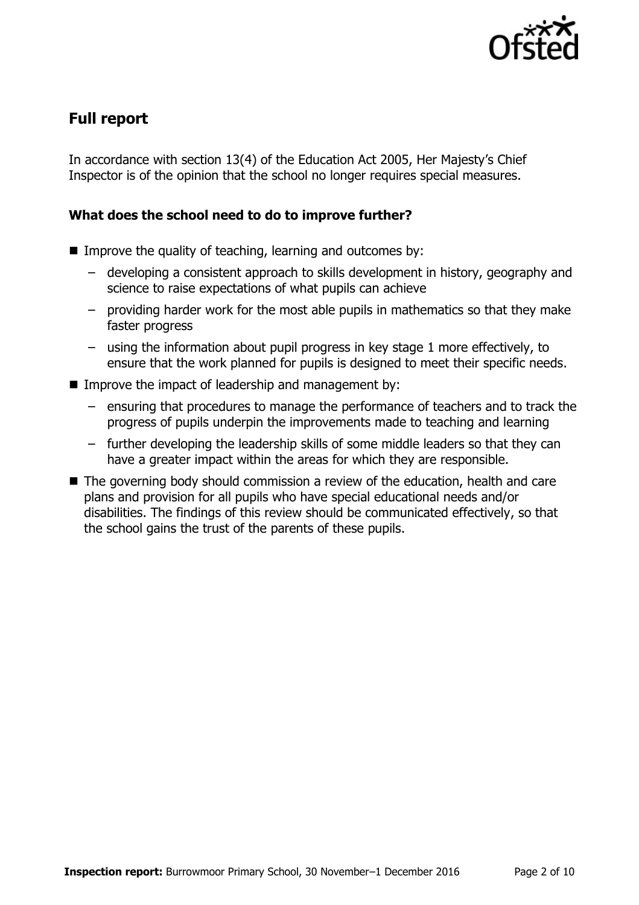

# **Full report**

In accordance with section 13(4) of the Education Act 2005, Her Majesty's Chief Inspector is of the opinion that the school no longer requires special measures.

### **What does the school need to do to improve further?**

- $\blacksquare$  Improve the quality of teaching, learning and outcomes by:
	- developing a consistent approach to skills development in history, geography and science to raise expectations of what pupils can achieve
	- providing harder work for the most able pupils in mathematics so that they make faster progress
	- using the information about pupil progress in key stage 1 more effectively, to ensure that the work planned for pupils is designed to meet their specific needs.
- **IMPROVE the impact of leadership and management by:** 
	- ensuring that procedures to manage the performance of teachers and to track the progress of pupils underpin the improvements made to teaching and learning
	- further developing the leadership skills of some middle leaders so that they can have a greater impact within the areas for which they are responsible.
- The governing body should commission a review of the education, health and care plans and provision for all pupils who have special educational needs and/or disabilities. The findings of this review should be communicated effectively, so that the school gains the trust of the parents of these pupils.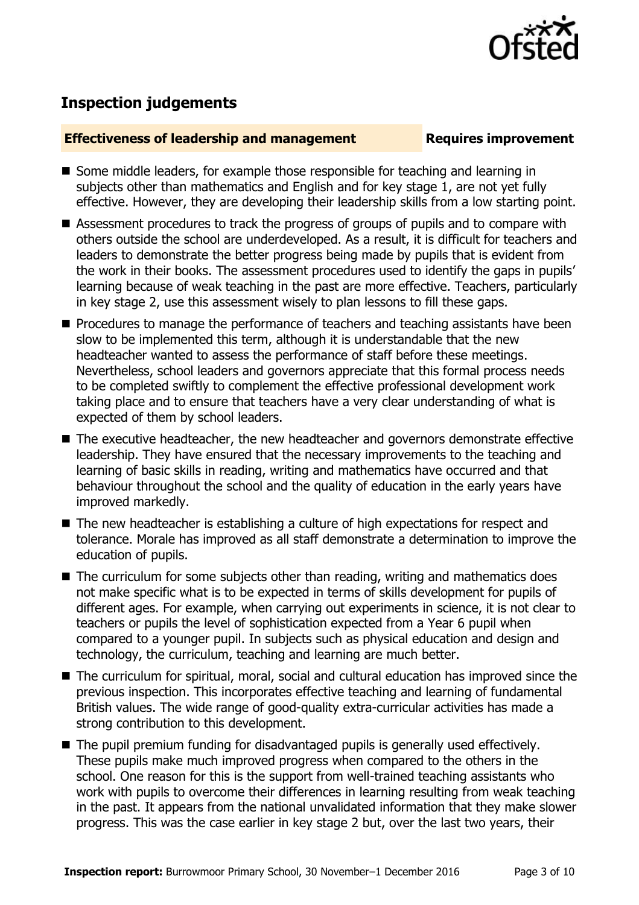

# **Inspection judgements**

### **Effectiveness of leadership and management Requires improvement**

- Some middle leaders, for example those responsible for teaching and learning in subjects other than mathematics and English and for key stage 1, are not yet fully effective. However, they are developing their leadership skills from a low starting point.
- Assessment procedures to track the progress of groups of pupils and to compare with others outside the school are underdeveloped. As a result, it is difficult for teachers and leaders to demonstrate the better progress being made by pupils that is evident from the work in their books. The assessment procedures used to identify the gaps in pupils' learning because of weak teaching in the past are more effective. Teachers, particularly in key stage 2, use this assessment wisely to plan lessons to fill these gaps.
- **Procedures to manage the performance of teachers and teaching assistants have been** slow to be implemented this term, although it is understandable that the new headteacher wanted to assess the performance of staff before these meetings. Nevertheless, school leaders and governors appreciate that this formal process needs to be completed swiftly to complement the effective professional development work taking place and to ensure that teachers have a very clear understanding of what is expected of them by school leaders.
- The executive headteacher, the new headteacher and governors demonstrate effective leadership. They have ensured that the necessary improvements to the teaching and learning of basic skills in reading, writing and mathematics have occurred and that behaviour throughout the school and the quality of education in the early years have improved markedly.
- The new headteacher is establishing a culture of high expectations for respect and tolerance. Morale has improved as all staff demonstrate a determination to improve the education of pupils.
- The curriculum for some subjects other than reading, writing and mathematics does not make specific what is to be expected in terms of skills development for pupils of different ages. For example, when carrying out experiments in science, it is not clear to teachers or pupils the level of sophistication expected from a Year 6 pupil when compared to a younger pupil. In subjects such as physical education and design and technology, the curriculum, teaching and learning are much better.
- The curriculum for spiritual, moral, social and cultural education has improved since the previous inspection. This incorporates effective teaching and learning of fundamental British values. The wide range of good-quality extra-curricular activities has made a strong contribution to this development.
- The pupil premium funding for disadvantaged pupils is generally used effectively. These pupils make much improved progress when compared to the others in the school. One reason for this is the support from well-trained teaching assistants who work with pupils to overcome their differences in learning resulting from weak teaching in the past. It appears from the national unvalidated information that they make slower progress. This was the case earlier in key stage 2 but, over the last two years, their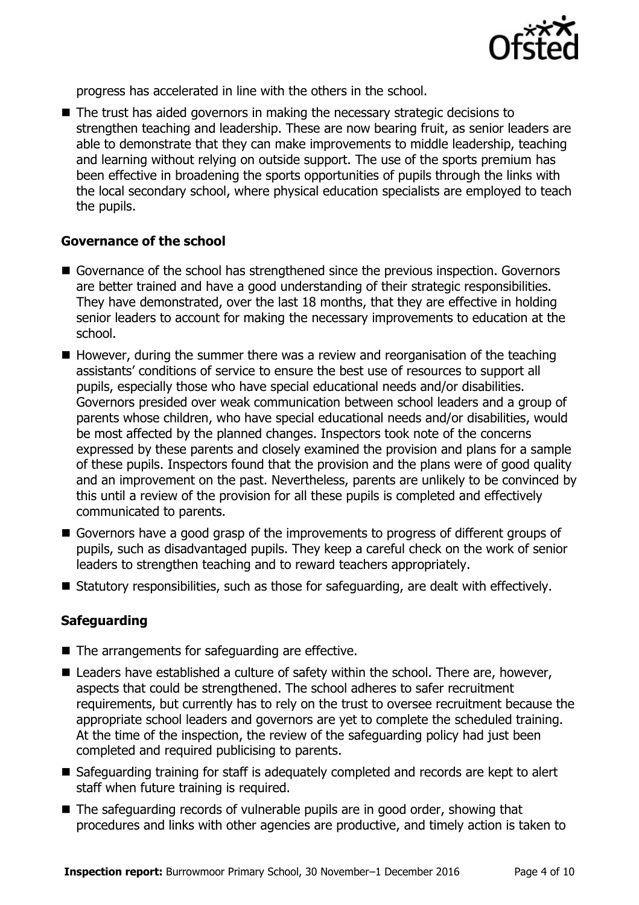

progress has accelerated in line with the others in the school.

■ The trust has aided governors in making the necessary strategic decisions to strengthen teaching and leadership. These are now bearing fruit, as senior leaders are able to demonstrate that they can make improvements to middle leadership, teaching and learning without relying on outside support. The use of the sports premium has been effective in broadening the sports opportunities of pupils through the links with the local secondary school, where physical education specialists are employed to teach the pupils.

### **Governance of the school**

- Governance of the school has strengthened since the previous inspection. Governors are better trained and have a good understanding of their strategic responsibilities. They have demonstrated, over the last 18 months, that they are effective in holding senior leaders to account for making the necessary improvements to education at the school.
- $\blacksquare$  However, during the summer there was a review and reorganisation of the teaching assistants' conditions of service to ensure the best use of resources to support all pupils, especially those who have special educational needs and/or disabilities. Governors presided over weak communication between school leaders and a group of parents whose children, who have special educational needs and/or disabilities, would be most affected by the planned changes. Inspectors took note of the concerns expressed by these parents and closely examined the provision and plans for a sample of these pupils. Inspectors found that the provision and the plans were of good quality and an improvement on the past. Nevertheless, parents are unlikely to be convinced by this until a review of the provision for all these pupils is completed and effectively communicated to parents.
- Governors have a good grasp of the improvements to progress of different groups of pupils, such as disadvantaged pupils. They keep a careful check on the work of senior leaders to strengthen teaching and to reward teachers appropriately.
- Statutory responsibilities, such as those for safeguarding, are dealt with effectively.

### **Safeguarding**

- The arrangements for safeguarding are effective.
- Leaders have established a culture of safety within the school. There are, however, aspects that could be strengthened. The school adheres to safer recruitment requirements, but currently has to rely on the trust to oversee recruitment because the appropriate school leaders and governors are yet to complete the scheduled training. At the time of the inspection, the review of the safeguarding policy had just been completed and required publicising to parents.
- Safeguarding training for staff is adequately completed and records are kept to alert staff when future training is required.
- The safeguarding records of vulnerable pupils are in good order, showing that procedures and links with other agencies are productive, and timely action is taken to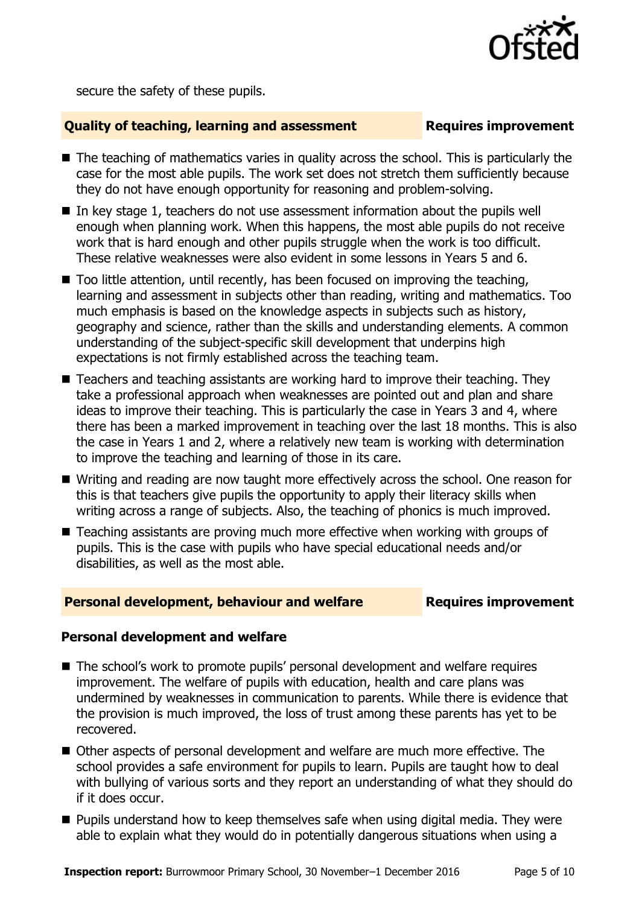

secure the safety of these pupils.

### **Quality of teaching, learning and assessment Requires improvement**

- The teaching of mathematics varies in quality across the school. This is particularly the case for the most able pupils. The work set does not stretch them sufficiently because they do not have enough opportunity for reasoning and problem-solving.
- In key stage 1, teachers do not use assessment information about the pupils well enough when planning work. When this happens, the most able pupils do not receive work that is hard enough and other pupils struggle when the work is too difficult. These relative weaknesses were also evident in some lessons in Years 5 and 6.
- $\blacksquare$  Too little attention, until recently, has been focused on improving the teaching, learning and assessment in subjects other than reading, writing and mathematics. Too much emphasis is based on the knowledge aspects in subjects such as history, geography and science, rather than the skills and understanding elements. A common understanding of the subject-specific skill development that underpins high expectations is not firmly established across the teaching team.
- Teachers and teaching assistants are working hard to improve their teaching. They take a professional approach when weaknesses are pointed out and plan and share ideas to improve their teaching. This is particularly the case in Years 3 and 4, where there has been a marked improvement in teaching over the last 18 months. This is also the case in Years 1 and 2, where a relatively new team is working with determination to improve the teaching and learning of those in its care.
- Writing and reading are now taught more effectively across the school. One reason for this is that teachers give pupils the opportunity to apply their literacy skills when writing across a range of subjects. Also, the teaching of phonics is much improved.
- Teaching assistants are proving much more effective when working with groups of pupils. This is the case with pupils who have special educational needs and/or disabilities, as well as the most able.

### **Personal development, behaviour and welfare Fig. 2.1 Requires improvement**

### **Personal development and welfare**

- The school's work to promote pupils' personal development and welfare requires improvement. The welfare of pupils with education, health and care plans was undermined by weaknesses in communication to parents. While there is evidence that the provision is much improved, the loss of trust among these parents has yet to be recovered.
- Other aspects of personal development and welfare are much more effective. The school provides a safe environment for pupils to learn. Pupils are taught how to deal with bullying of various sorts and they report an understanding of what they should do if it does occur.
- **Pupils understand how to keep themselves safe when using digital media. They were** able to explain what they would do in potentially dangerous situations when using a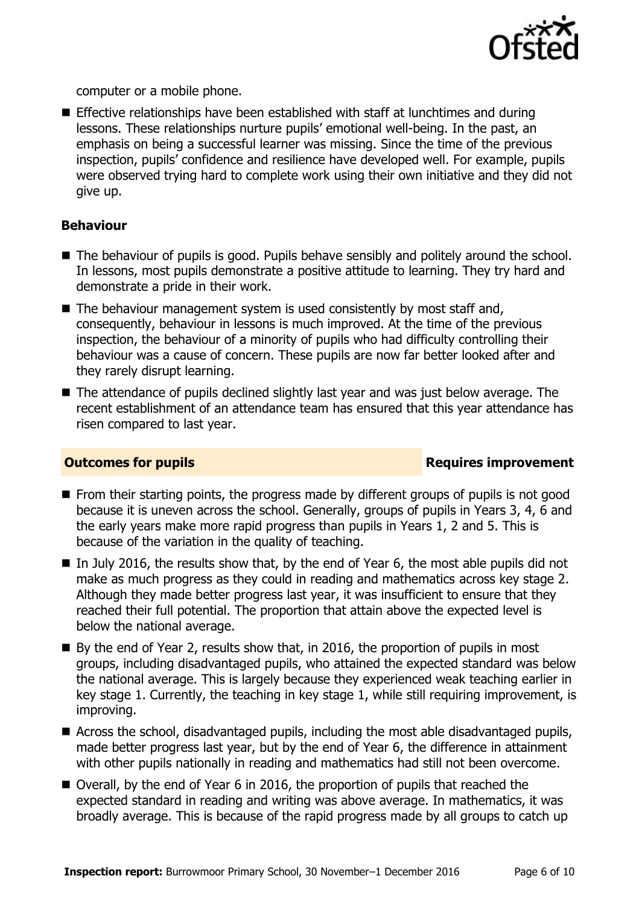

computer or a mobile phone.

 Effective relationships have been established with staff at lunchtimes and during lessons. These relationships nurture pupils' emotional well-being. In the past, an emphasis on being a successful learner was missing. Since the time of the previous inspection, pupils' confidence and resilience have developed well. For example, pupils were observed trying hard to complete work using their own initiative and they did not give up.

### **Behaviour**

- The behaviour of pupils is good. Pupils behave sensibly and politely around the school. In lessons, most pupils demonstrate a positive attitude to learning. They try hard and demonstrate a pride in their work.
- $\blacksquare$  The behaviour management system is used consistently by most staff and, consequently, behaviour in lessons is much improved. At the time of the previous inspection, the behaviour of a minority of pupils who had difficulty controlling their behaviour was a cause of concern. These pupils are now far better looked after and they rarely disrupt learning.
- The attendance of pupils declined slightly last year and was just below average. The recent establishment of an attendance team has ensured that this year attendance has risen compared to last year.

### **Outcomes for pupils Requires improvement**

- **From their starting points, the progress made by different groups of pupils is not good** because it is uneven across the school. Generally, groups of pupils in Years 3, 4, 6 and the early years make more rapid progress than pupils in Years 1, 2 and 5. This is because of the variation in the quality of teaching.
- $\blacksquare$  In July 2016, the results show that, by the end of Year 6, the most able pupils did not make as much progress as they could in reading and mathematics across key stage 2. Although they made better progress last year, it was insufficient to ensure that they reached their full potential. The proportion that attain above the expected level is below the national average.
- $\blacksquare$  By the end of Year 2, results show that, in 2016, the proportion of pupils in most groups, including disadvantaged pupils, who attained the expected standard was below the national average. This is largely because they experienced weak teaching earlier in key stage 1. Currently, the teaching in key stage 1, while still requiring improvement, is improving.
- Across the school, disadvantaged pupils, including the most able disadvantaged pupils, made better progress last year, but by the end of Year 6, the difference in attainment with other pupils nationally in reading and mathematics had still not been overcome.
- Overall, by the end of Year 6 in 2016, the proportion of pupils that reached the expected standard in reading and writing was above average. In mathematics, it was broadly average. This is because of the rapid progress made by all groups to catch up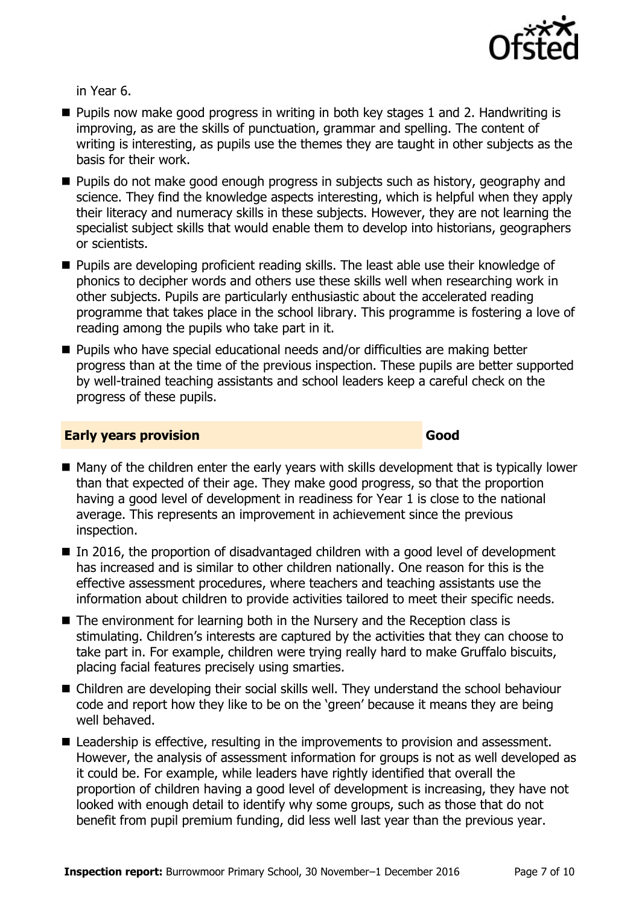

in Year 6.

- $\blacksquare$  Pupils now make good progress in writing in both key stages 1 and 2. Handwriting is improving, as are the skills of punctuation, grammar and spelling. The content of writing is interesting, as pupils use the themes they are taught in other subjects as the basis for their work.
- **Pupils do not make good enough progress in subjects such as history, geography and** science. They find the knowledge aspects interesting, which is helpful when they apply their literacy and numeracy skills in these subjects. However, they are not learning the specialist subject skills that would enable them to develop into historians, geographers or scientists.
- **Pupils are developing proficient reading skills. The least able use their knowledge of** phonics to decipher words and others use these skills well when researching work in other subjects. Pupils are particularly enthusiastic about the accelerated reading programme that takes place in the school library. This programme is fostering a love of reading among the pupils who take part in it.
- Pupils who have special educational needs and/or difficulties are making better progress than at the time of the previous inspection. These pupils are better supported by well-trained teaching assistants and school leaders keep a careful check on the progress of these pupils.

### **Early years provision Good Good**

- Many of the children enter the early years with skills development that is typically lower than that expected of their age. They make good progress, so that the proportion having a good level of development in readiness for Year 1 is close to the national average. This represents an improvement in achievement since the previous inspection.
- $\blacksquare$  In 2016, the proportion of disadvantaged children with a good level of development has increased and is similar to other children nationally. One reason for this is the effective assessment procedures, where teachers and teaching assistants use the information about children to provide activities tailored to meet their specific needs.
- The environment for learning both in the Nursery and the Reception class is stimulating. Children's interests are captured by the activities that they can choose to take part in. For example, children were trying really hard to make Gruffalo biscuits, placing facial features precisely using smarties.
- Children are developing their social skills well. They understand the school behaviour code and report how they like to be on the 'green' because it means they are being well behaved.
- Leadership is effective, resulting in the improvements to provision and assessment. However, the analysis of assessment information for groups is not as well developed as it could be. For example, while leaders have rightly identified that overall the proportion of children having a good level of development is increasing, they have not looked with enough detail to identify why some groups, such as those that do not benefit from pupil premium funding, did less well last year than the previous year.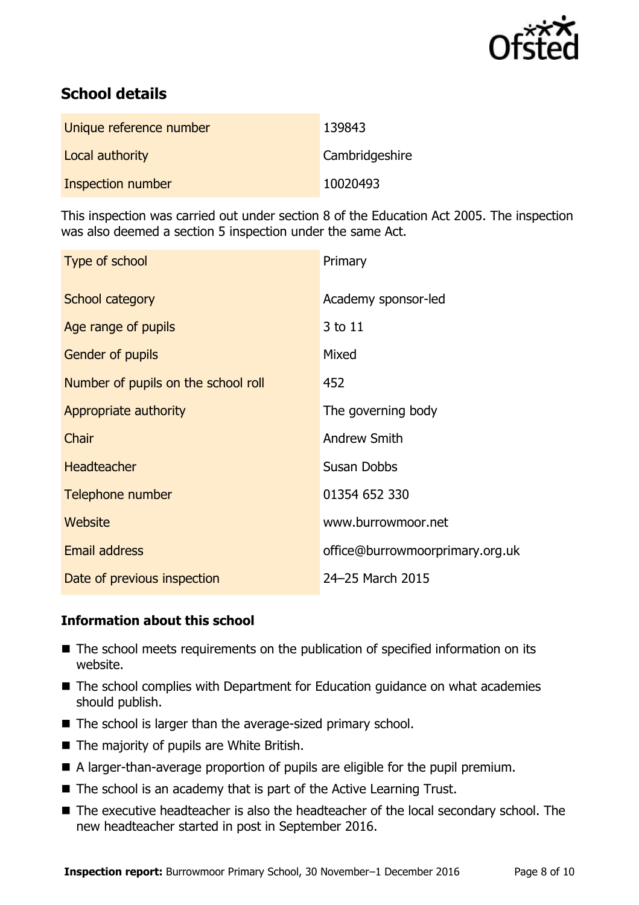

# **School details**

| Unique reference number | 139843         |
|-------------------------|----------------|
| Local authority         | Cambridgeshire |
| Inspection number       | 10020493       |

This inspection was carried out under section 8 of the Education Act 2005. The inspection was also deemed a section 5 inspection under the same Act.

| Type of school                      | Primary                         |
|-------------------------------------|---------------------------------|
| School category                     | Academy sponsor-led             |
| Age range of pupils                 | 3 to 11                         |
| Gender of pupils                    | Mixed                           |
| Number of pupils on the school roll | 452                             |
| Appropriate authority               | The governing body              |
| <b>Chair</b>                        | <b>Andrew Smith</b>             |
| <b>Headteacher</b>                  | <b>Susan Dobbs</b>              |
| Telephone number                    | 01354 652 330                   |
| Website                             | www.burrowmoor.net              |
| <b>Email address</b>                | office@burrowmoorprimary.org.uk |
| Date of previous inspection         | 24-25 March 2015                |

### **Information about this school**

- The school meets requirements on the publication of specified information on its website.
- The school complies with Department for Education guidance on what academies should publish.
- The school is larger than the average-sized primary school.
- The majority of pupils are White British.
- A larger-than-average proportion of pupils are eligible for the pupil premium.
- The school is an academy that is part of the Active Learning Trust.
- The executive headteacher is also the headteacher of the local secondary school. The new headteacher started in post in September 2016.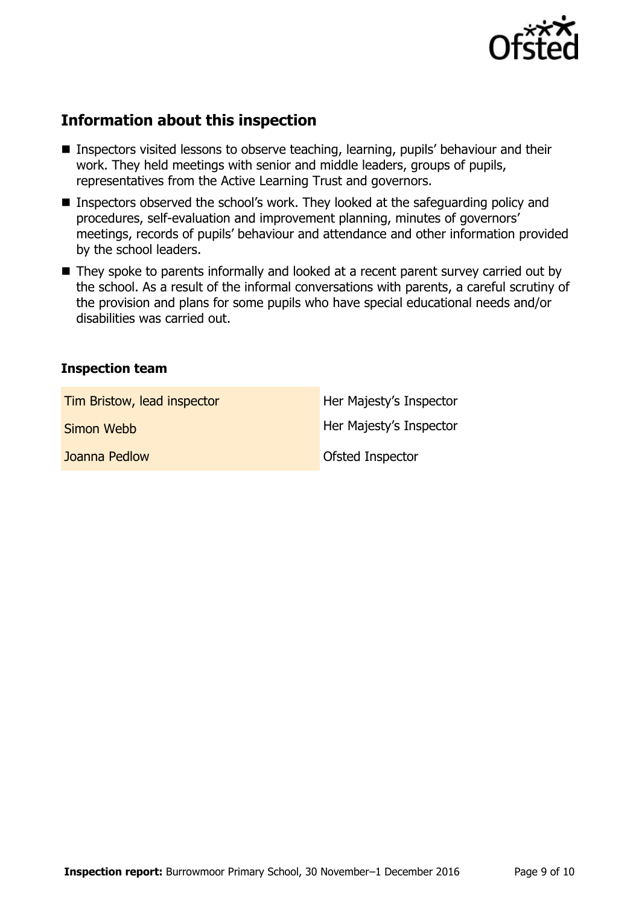

## **Information about this inspection**

- **Inspectors visited lessons to observe teaching, learning, pupils' behaviour and their** work. They held meetings with senior and middle leaders, groups of pupils, representatives from the Active Learning Trust and governors.
- Inspectors observed the school's work. They looked at the safeguarding policy and procedures, self-evaluation and improvement planning, minutes of governors' meetings, records of pupils' behaviour and attendance and other information provided by the school leaders.
- They spoke to parents informally and looked at a recent parent survey carried out by the school. As a result of the informal conversations with parents, a careful scrutiny of the provision and plans for some pupils who have special educational needs and/or disabilities was carried out.

### **Inspection team**

| Tim Bristow, lead inspector | Her Majesty's Inspector |
|-----------------------------|-------------------------|
| Simon Webb                  | Her Majesty's Inspector |
| Joanna Pedlow               | Ofsted Inspector        |